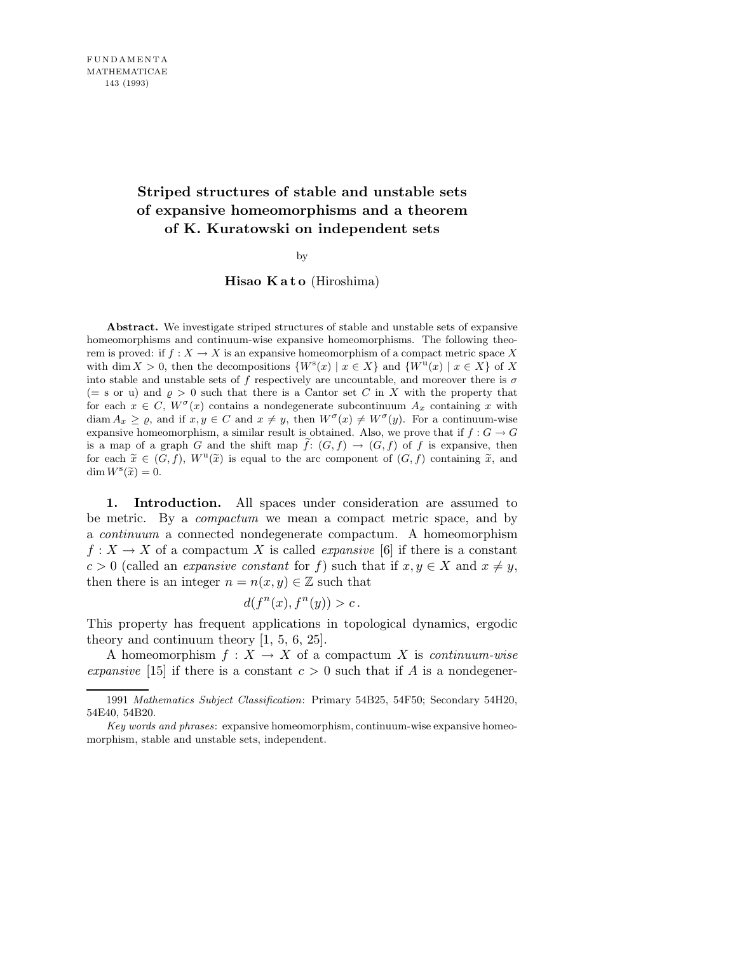## **Striped structures of stable and unstable sets of expansive homeomorphisms and a theorem of K. Kuratowski on independent sets**

by

Hisao Kato (Hiroshima)

**Abstract.** We investigate striped structures of stable and unstable sets of expansive homeomorphisms and continuum-wise expansive homeomorphisms. The following theorem is proved: if  $f: X \to X$  is an expansive homeomorphism of a compact metric space X with dim  $X > 0$ , then the decompositions  $\{W^s(x) | x \in X\}$  and  $\{W^u(x) | x \in X\}$  of X into stable and unstable sets of  $f$  respectively are uncountable, and moreover there is  $\sigma$  $(= s \text{ or } u)$  and  $\rho > 0$  such that there is a Cantor set *C* in *X* with the property that for each  $x \in C$ ,  $W^{\sigma}(x)$  contains a nondegenerate subcontinuum  $A_x$  containing x with diam  $A_x \geq \varrho$ , and if  $x, y \in C$  and  $x \neq y$ , then  $W^{\sigma}(x) \neq W^{\sigma}(y)$ . For a continuum-wise expansive homeomorphism, a similar result is obtained. Also, we prove that if  $f: G \to G$ is a map of a graph *G* and the shift map  $f: (G, f) \rightarrow (G, f)$  of *f* is expansive, then for each  $\tilde{x} \in (G, f)$ ,  $W^{\mathbf{u}}(\tilde{x})$  is equal to the arc component of  $(G, f)$  containing  $\tilde{x}$ , and  $\dim W^s(\widetilde{x}) = 0.$ 

1. Introduction. All spaces under consideration are assumed to be metric. By a compactum we mean a compact metric space, and by a continuum a connected nondegenerate compactum. A homeomorphism  $f: X \to X$  of a compactum X is called *expansive* [6] if there is a constant  $c > 0$  (called an *expansive constant* for f) such that if  $x, y \in X$  and  $x \neq y$ , then there is an integer  $n = n(x, y) \in \mathbb{Z}$  such that

$$
d(f^{n}(x), f^{n}(y)) > c.
$$

This property has frequent applications in topological dynamics, ergodic theory and continuum theory [1, 5, 6, 25].

A homeomorphism  $f: X \to X$  of a compactum X is *continuum-wise* expansive [15] if there is a constant  $c > 0$  such that if A is a nondegener-

<sup>1991</sup> *Mathematics Subject Classification*: Primary 54B25, 54F50; Secondary 54H20, 54E40, 54B20.

*Key words and phrases*: expansive homeomorphism, continuum-wise expansive homeomorphism, stable and unstable sets, independent.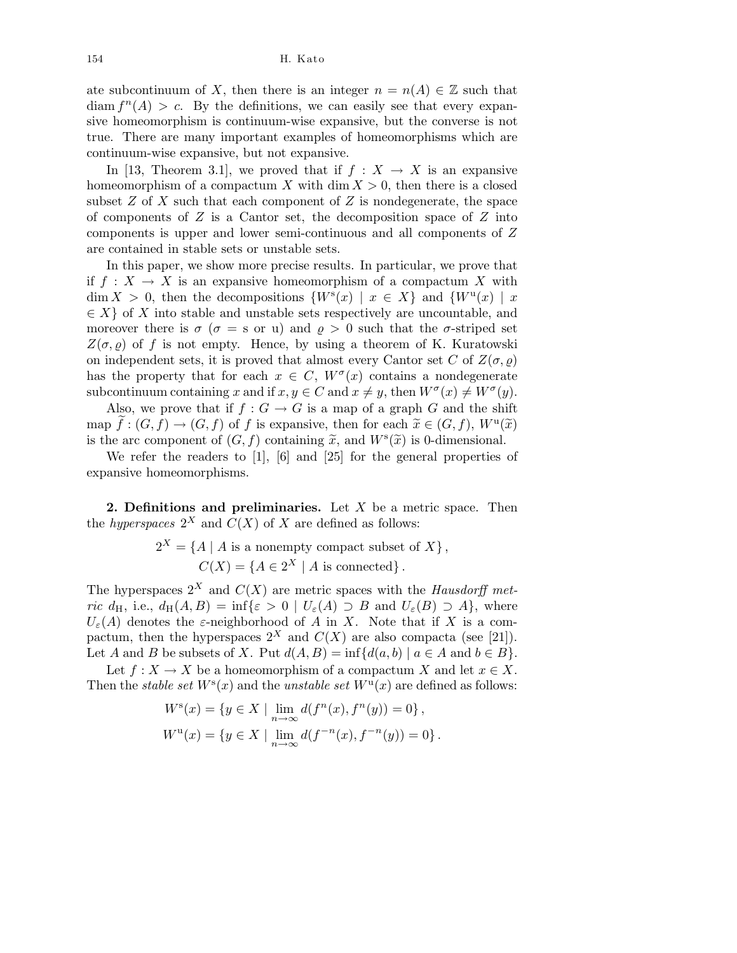154 H. Kato

ate subcontinuum of X, then there is an integer  $n = n(A) \in \mathbb{Z}$  such that  $\dim f^{n}(A) > c$ . By the definitions, we can easily see that every expansive homeomorphism is continuum-wise expansive, but the converse is not true. There are many important examples of homeomorphisms which are continuum-wise expansive, but not expansive.

In [13, Theorem 3.1], we proved that if  $f : X \to X$  is an expansive homeomorphism of a compactum X with  $\dim X > 0$ , then there is a closed subset  $Z$  of  $X$  such that each component of  $Z$  is nondegenerate, the space of components of  $Z$  is a Cantor set, the decomposition space of  $Z$  into components is upper and lower semi-continuous and all components of Z are contained in stable sets or unstable sets.

In this paper, we show more precise results. In particular, we prove that if  $f : X \to X$  is an expansive homeomorphism of a compactum X with  $\dim X > 0$ , then the decompositions  $\{W^s(x) \mid x \in X\}$  and  $\{W^u(x) \mid x$  $\in X$  of X into stable and unstable sets respectively are uncountable, and moreover there is  $\sigma$  ( $\sigma =$  s or u) and  $\rho > 0$  such that the  $\sigma$ -striped set  $Z(\sigma, \rho)$  of f is not empty. Hence, by using a theorem of K. Kuratowski on independent sets, it is proved that almost every Cantor set C of  $Z(\sigma, \varrho)$ has the property that for each  $x \in C$ ,  $W^{\sigma}(x)$  contains a nondegenerate subcontinuum containing x and if  $x, y \in C$  and  $x \neq y$ , then  $W^{\sigma}(x) \neq W^{\sigma}(y)$ .

Also, we prove that if  $f: G \to G$  is a map of a graph G and the shift map  $\widetilde{f}: (G, f) \to (G, f)$  of f is expansive, then for each  $\widetilde{x} \in (G, f)$ ,  $W^{\mathrm{u}}(\widetilde{x})$ is the arc component of  $(G, f)$  containing  $\tilde{x}$ , and  $W^s(\tilde{x})$  is 0-dimensional.

We refer the readers to [1], [6] and [25] for the general properties of expansive homeomorphisms.

2. Definitions and preliminaries. Let  $X$  be a metric space. Then the *hyperspaces*  $2^X$  and  $C(X)$  of X are defined as follows:

$$
2^X = \{ A \mid A \text{ is a nonempty compact subset of } X \},
$$
  

$$
C(X) = \{ A \in 2^X \mid A \text{ is connected} \}.
$$

The hyperspaces  $2^X$  and  $C(X)$  are metric spaces with the Hausdorff metric  $d_H$ , i.e.,  $d_H(A, B) = \inf \{ \varepsilon > 0 \mid U_{\varepsilon}(A) \supset B \text{ and } U_{\varepsilon}(B) \supset A \}$ , where  $U_{\varepsilon}(A)$  denotes the  $\varepsilon$ -neighborhood of A in X. Note that if X is a compactum, then the hyperspaces  $2^X$  and  $C(X)$  are also compacta (see [21]). Let A and B be subsets of X. Put  $d(A, B) = \inf \{d(a, b) \mid a \in A \text{ and } b \in B\}.$ 

Let  $f: X \to X$  be a homeomorphism of a compactum X and let  $x \in X$ . Then the *stable set*  $W^s(x)$  and the *unstable set*  $W^u(x)$  are defined as follows:

$$
W^{s}(x) = \{ y \in X \mid \lim_{n \to \infty} d(f^{n}(x), f^{n}(y)) = 0 \},\,
$$
  

$$
W^{u}(x) = \{ y \in X \mid \lim_{n \to \infty} d(f^{-n}(x), f^{-n}(y)) = 0 \}.
$$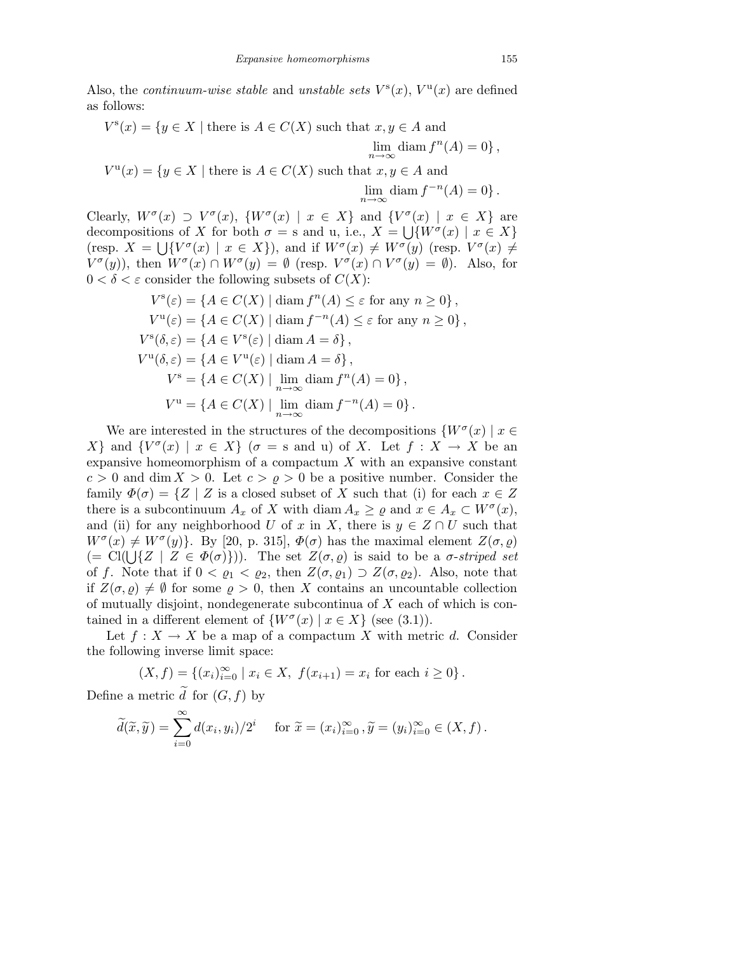Also, the *continuum-wise stable* and *unstable sets*  $V^{s}(x)$ ,  $V^{u}(x)$  are defined as follows:

$$
V^s(x) = \{ y \in X \mid \text{there is } A \in C(X) \text{ such that } x, y \in A \text{ and } \lim_{n \to \infty} \text{diam } f^n(A) = 0 \},
$$
  

$$
V^u(x) = \{ y \in X \mid \text{there is } A \in C(X) \text{ such that } x, y \in A \text{ and } \lim_{n \to \infty} \text{diam } f^{-n}(A) = 0 \}.
$$

Clearly,  $W^{\sigma}(x) \supset V^{\sigma}(x)$ ,  $\{W^{\sigma}(x) \mid x \in X\}$  and  $\{V^{\sigma}(x) \mid x \in X\}$  are decompositions of X for both  $\sigma =$  s and u, i.e.,  $X = \bigcup \{W^{\sigma}(x) \mid x \in X\}$ (resp.  $X = \bigcup \{V^{\sigma}(x) \mid x \in X\}$ ), and if  $W^{\sigma}(x) \neq W^{\sigma}(y)$  (resp.  $V^{\sigma}(x) \neq$  $V^{\sigma}(y)$ , then  $W^{\sigma}(x) \cap W^{\sigma}(y) = \emptyset$  (resp.  $V^{\sigma}(x) \cap V^{\sigma}(y) = \emptyset$ ). Also, for  $0 < \delta < \varepsilon$  consider the following subsets of  $C(X)$ :

$$
V^s(\varepsilon) = \{ A \in C(X) \mid \text{diam } f^n(A) \le \varepsilon \text{ for any } n \ge 0 \},
$$
  
\n
$$
V^u(\varepsilon) = \{ A \in C(X) \mid \text{diam } f^{-n}(A) \le \varepsilon \text{ for any } n \ge 0 \},
$$
  
\n
$$
V^s(\delta, \varepsilon) = \{ A \in V^s(\varepsilon) \mid \text{diam } A = \delta \},
$$
  
\n
$$
V^u(\delta, \varepsilon) = \{ A \in V^u(\varepsilon) \mid \text{diam } A = \delta \},
$$
  
\n
$$
V^s = \{ A \in C(X) \mid \lim_{n \to \infty} \text{diam } f^n(A) = 0 \},
$$
  
\n
$$
V^u = \{ A \in C(X) \mid \lim_{n \to \infty} \text{diam } f^{-n}(A) = 0 \}.
$$

We are interested in the structures of the decompositions  $\{W^{\sigma}(x) \mid x \in$ X and  $\{V^{\sigma}(x) \mid x \in X\}$  ( $\sigma =$  s and u) of X. Let  $f : X \to X$  be an expansive homeomorphism of a compactum  $X$  with an expansive constant  $c > 0$  and dim  $X > 0$ . Let  $c > \rho > 0$  be a positive number. Consider the family  $\Phi(\sigma) = \{Z \mid Z \text{ is a closed subset of } X \text{ such that (i) for each } x \in Z\}$ there is a subcontinuum  $A_x$  of X with diam  $A_x \ge \varrho$  and  $x \in A_x \subset W^{\sigma}(x)$ , and (ii) for any neighborhood U of x in X, there is  $y \in Z \cap U$  such that  $W^{\sigma}(x) \neq W^{\sigma}(y)$ . By [20, p. 315],  $\Phi(\sigma)$  has the maximal element  $Z(\sigma, \varrho)$ (= Cl( $\bigcup \{Z \mid Z \in \Phi(\sigma)\}\big)$ ). The set  $Z(\sigma, \rho)$  is said to be a  $\sigma$ -striped set of f. Note that if  $0 < \varrho_1 < \varrho_2$ , then  $Z(\sigma, \varrho_1) \supset Z(\sigma, \varrho_2)$ . Also, note that if  $Z(\sigma, \varrho) \neq \emptyset$  for some  $\varrho > 0$ , then X contains an uncountable collection of mutually disjoint, nondegenerate subcontinua of  $X$  each of which is contained in a different element of  $\{W^{\sigma}(x) \mid x \in X\}$  (see (3.1)).

Let  $f: X \to X$  be a map of a compactum X with metric d. Consider the following inverse limit space:

$$
(X, f) = \{(x_i)_{i=0}^{\infty} \mid x_i \in X, f(x_{i+1}) = x_i \text{ for each } i \ge 0\}.
$$

Define a metric d for  $(G, f)$  by

$$
\widetilde{d}(\widetilde{x}, \widetilde{y}) = \sum_{i=0}^{\infty} d(x_i, y_i) / 2^i \quad \text{ for } \widetilde{x} = (x_i)_{i=0}^{\infty}, \widetilde{y} = (y_i)_{i=0}^{\infty} \in (X, f).
$$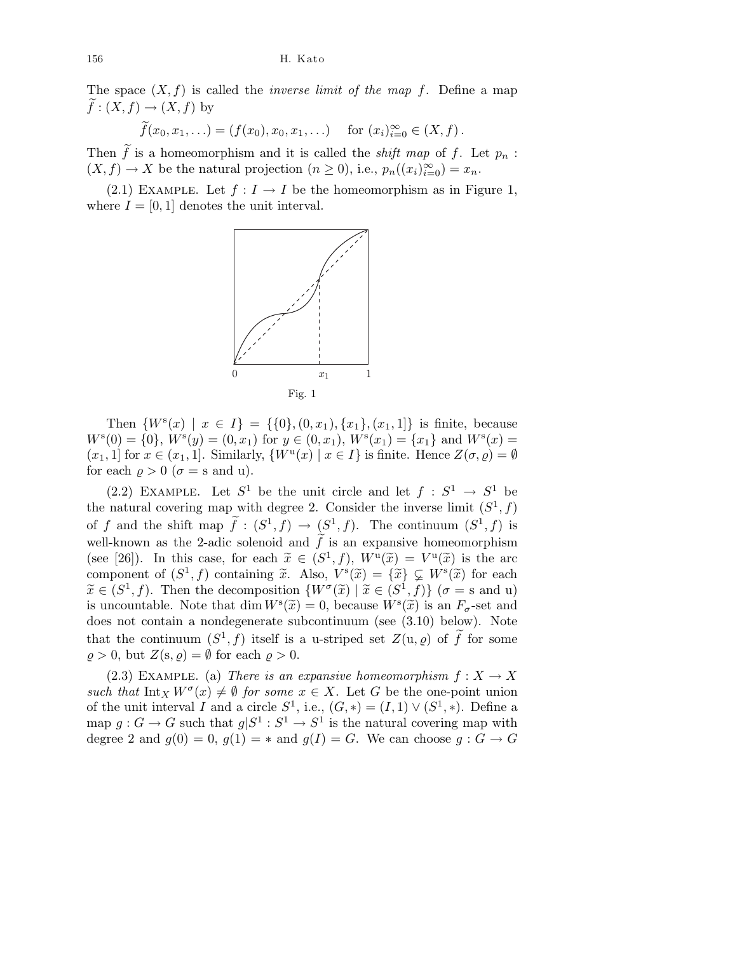The space  $(X, f)$  is called the *inverse limit of the map f*. Define a map  $f:(X, f) \to (X, f)$  by

$$
\widetilde{f}(x_0, x_1, \ldots) = (f(x_0), x_0, x_1, \ldots) \quad \text{for } (x_i)_{i=0}^{\infty} \in (X, f).
$$

Then  $\tilde{f}$  is a homeomorphism and it is called the *shift map* of f. Let  $p_n$ :  $(X, f) \to X$  be the natural projection  $(n \geq 0)$ , i.e.,  $p_n((x_i)_{i=0}^{\infty}) = x_n$ .

(2.1) EXAMPLE. Let  $f: I \to I$  be the homeomorphism as in Figure 1, where  $I = [0, 1]$  denotes the unit interval.



Then  $\{W^s(x) \mid x \in I\} = \{\{0\}, (0, x_1), \{x_1\}, (x_1, 1]\}$  is finite, because  $W^{s}(0) = \{0\}, W^{s}(y) = (0, x_1)$  for  $y \in (0, x_1), W^{s}(x_1) = \{x_1\}$  and  $W^{s}(x) =$  $(x_1, 1]$  for  $x \in (x_1, 1]$ . Similarly,  $\{W^{\mathrm{u}}(x) \mid x \in I\}$  is finite. Hence  $Z(\sigma, \varrho) = \emptyset$ for each  $\rho > 0$  ( $\sigma =$  s and u).

(2.2) EXAMPLE. Let  $S^1$  be the unit circle and let  $f : S^1 \to S^1$  be the natural covering map with degree 2. Consider the inverse limit  $(S^1, f)$ of f and the shift map  $\tilde{f} : (S^1, f) \to (S^1, f)$ . The continuum  $(S^1, f)$  is well-known as the 2-adic solenoid and  $\hat{f}$  is an expansive homeomorphism (see [26]). In this case, for each  $\tilde{x} \in (S^1, f)$ ,  $W^{\mathsf{u}}(\tilde{x}) = V^{\mathsf{u}}(\tilde{x})$  is the arc component of  $(S^1, f)$  containing  $\tilde{x}$ . Also,  $V^s(\tilde{x}) = {\tilde{x}} \subsetneq W^s(\tilde{x})$  for each  $\widetilde{x} \in (S^1, f)$ . Then the decomposition  $\{W^{\sigma}(\widetilde{x}) \mid \widetilde{x} \in (S^1, f)\}$  ( $\sigma =$ s and u) is uncountable. Note that dim  $W^s(\tilde{x}) = 0$ , because  $W^s(\tilde{x})$  is an  $F_{\sigma}$ -set and does not contain a nondegenerate subcontinuum (see (3.10) below). Note that the continuum  $(S^1, f)$  itself is a u-striped set  $Z(\mathfrak{u}, \varrho)$  of  $\widetilde{f}$  for some  $\varrho > 0$ , but  $Z(s, \varrho) = \emptyset$  for each  $\varrho > 0$ .

(2.3) EXAMPLE. (a) There is an expansive homeomorphism  $f: X \to X$ such that  $\text{Int}_X W^{\sigma}(x) \neq \emptyset$  for some  $x \in X$ . Let G be the one-point union of the unit interval I and a circle  $S^1$ , i.e.,  $(G,*)=(I,1)\vee (S^1,*)$ . Define a map  $g: G \to G$  such that  $g|S^1: S^1 \to S^1$  is the natural covering map with degree 2 and  $g(0) = 0$ ,  $g(1) = *$  and  $g(I) = G$ . We can choose  $g : G \to G$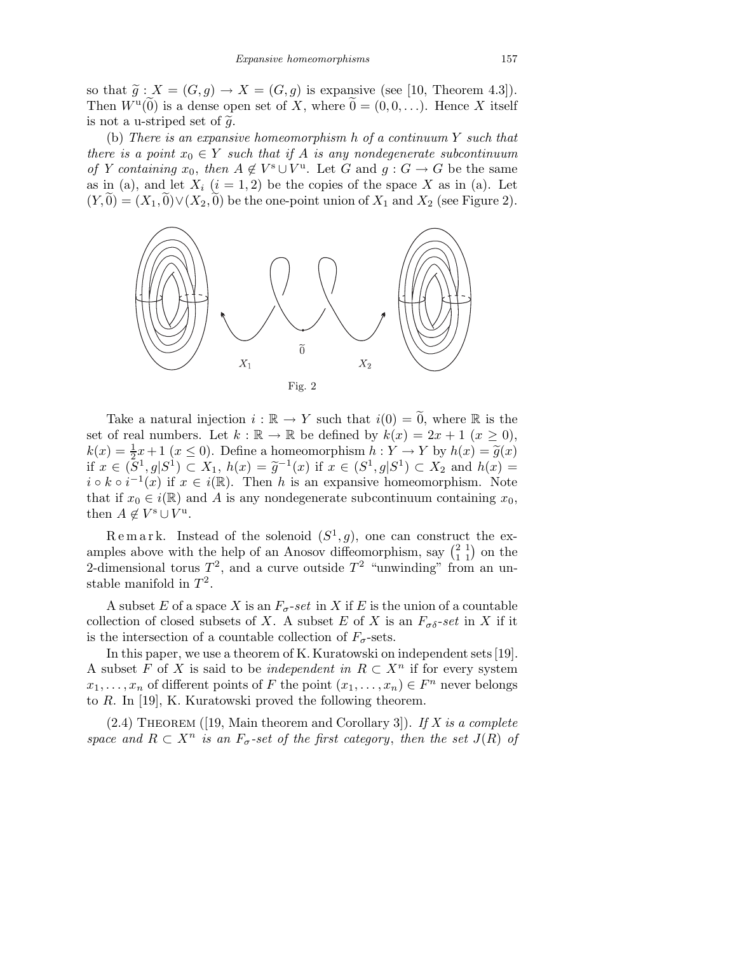so that  $\tilde{g}: X = (G, g) \rightarrow X = (G, g)$  is expansive (see [10, Theorem 4.3]). Then  $W^{\mathrm{u}}(\widetilde{0})$  is a dense open set of X, where  $\widetilde{0} = (0, 0, \ldots)$ . Hence X itself is not a u-striped set of  $\tilde{q}$ .

(b) There is an expansive homeomorphism h of a continuum Y such that there is a point  $x_0 \in Y$  such that if A is any nondegenerate subcontinuum of Y containing  $x_0$ , then  $A \notin V^s \cup V^u$ . Let G and  $g: G \to G$  be the same as in (a), and let  $X_i$   $(i = 1, 2)$  be the copies of the space X as in (a). Let  $(Y, 0) = (X_1, 0) \vee (X_2, 0)$  be the one-point union of  $X_1$  and  $X_2$  (see Figure 2).



Take a natural injection  $i : \mathbb{R} \to Y$  such that  $i(0) = 0$ , where  $\mathbb R$  is the set of real numbers. Let  $k : \mathbb{R} \to \mathbb{R}$  be defined by  $k(x) = 2x + 1 \ (x \geq 0)$ ,  $k(x) = \frac{1}{2}x + 1$   $(x \le 0)$ . Define a homeomorphism  $h: Y \to Y$  by  $h(x) = \tilde{g}(x)$ if  $x \in (\tilde{S}^1, g | S^1) \subset X_1$ ,  $h(x) = \tilde{g}^{-1}(x)$  if  $x \in (S^1, g | S^1) \subset X_2$  and  $h(x) =$  $i \circ k \circ i^{-1}(x)$  if  $x \in i(\mathbb{R})$ . Then h is an expansive homeomorphism. Note that if  $x_0 \in i(\mathbb{R})$  and A is any nondegenerate subcontinuum containing  $x_0$ , then  $A \notin V^s \cup V^u$ .

Remark. Instead of the solenoid  $(S^1, g)$ , one can construct the examples above with the help of an Anosov diffeomorphism, say  $\begin{pmatrix} 2 & 1 \\ 1 & 1 \end{pmatrix}$  on the 2-dimensional torus  $T^2$ , and a curve outside  $T^2$  "unwinding" from an unstable manifold in  $T^2$ .

A subset E of a space X is an  $F_{\sigma}$ -set in X if E is the union of a countable collection of closed subsets of X. A subset E of X is an  $F_{\sigma\delta}$ -set in X if it is the intersection of a countable collection of  $F_{\sigma}$ -sets.

In this paper, we use a theorem of K. Kuratowski on independent sets [19]. A subset F of X is said to be *independent in*  $R \subset X^n$  if for every system  $x_1, \ldots, x_n$  of different points of F the point  $(x_1, \ldots, x_n) \in F^n$  never belongs to R. In [19], K. Kuratowski proved the following theorem.

 $(2.4)$  THEOREM ([19, Main theorem and Corollary 3]). If X is a complete space and  $R \subset X^n$  is an  $F_{\sigma}$ -set of the first category, then the set  $J(R)$  of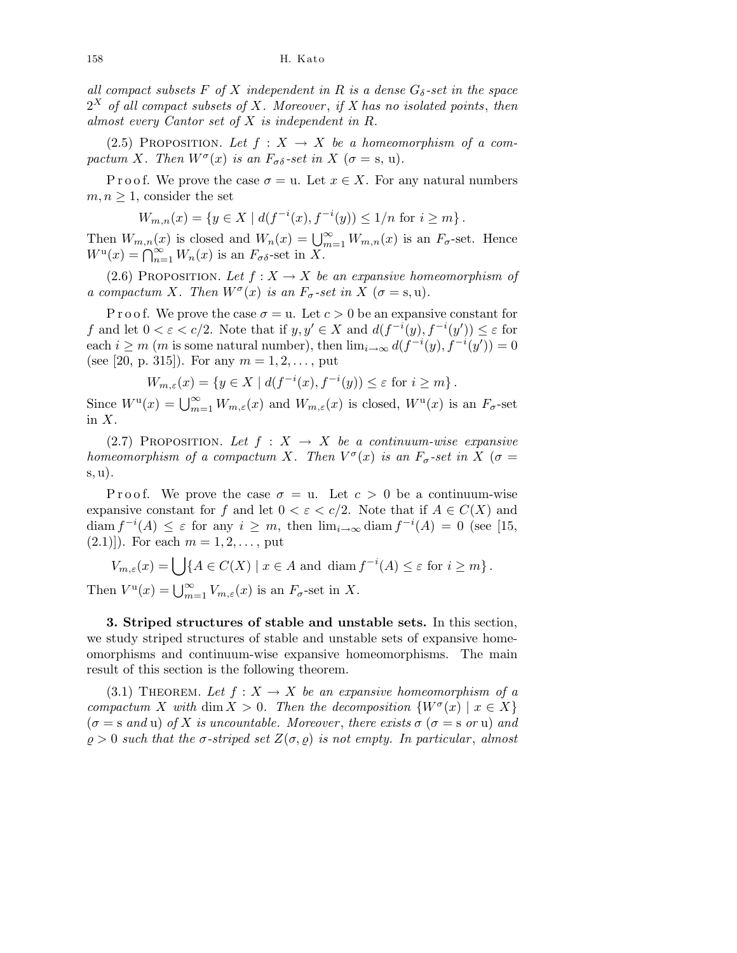all compact subsets F of X independent in R is a dense  $G_{\delta}$ -set in the space  $2^X$  of all compact subsets of X. Moreover, if X has no isolated points, then almost every Cantor set of X is independent in R.

(2.5) PROPOSITION. Let  $f : X \rightarrow X$  be a homeomorphism of a compactum X. Then  $W^{\sigma}(x)$  is an  $F_{\sigma\delta}$ -set in X ( $\sigma = s$ , u).

P r o o f. We prove the case  $\sigma = u$ . Let  $x \in X$ . For any natural numbers  $m, n \geq 1$ , consider the set

$$
W_{m,n}(x) = \{ y \in X \mid d(f^{-i}(x), f^{-i}(y)) \le 1/n \text{ for } i \ge m \}.
$$

Then  $W_{m,n}(x)$  is closed and  $W_n(x) = \bigcup_{m=1}^{\infty} W_{m,n}(x)$  is an  $F_{\sigma}$ -set. Hence  $W^{\mathbf{u}}(x) = \bigcap_{n=1}^{\infty} W_n(x)$  is an  $F_{\sigma\delta}$ -set in X.

(2.6) PROPOSITION. Let  $f : X \to X$  be an expansive homeomorphism of a compactum X. Then  $W^{\sigma}(x)$  is an  $F_{\sigma}$ -set in X ( $\sigma = s, u$ ).

P r o o f. We prove the case  $\sigma = u$ . Let  $c > 0$  be an expansive constant for f and let  $0 < \varepsilon < c/2$ . Note that if  $y, y' \in X$  and  $d(f^{-i}(y), f^{-i}(y')) \leq \varepsilon$  for each  $i \geq m$  (*m* is some natural number), then  $\lim_{i \to \infty} d(f^{-i}(y), f^{-i}(y')) = 0$ (see [20, p. 315]). For any  $m = 1, 2, ...,$  put

$$
W_{m,\varepsilon}(x) = \{ y \in X \mid d(f^{-i}(x), f^{-i}(y)) \le \varepsilon \text{ for } i \ge m \}.
$$

Since  $W^{\mathrm{u}}(x) = \bigcup_{m=1}^{\infty} W_{m,\varepsilon}(x)$  and  $W_{m,\varepsilon}(x)$  is closed,  $W^{\mathrm{u}}(x)$  is an  $F_{\sigma}$ -set in  $X$ .

(2.7) PROPOSITION. Let  $f : X \rightarrow X$  be a continuum-wise expansive homeomorphism of a compactum X. Then  $V^{\sigma}(x)$  is an  $F_{\sigma}$ -set in X ( $\sigma =$ s, u).

P r o o f. We prove the case  $\sigma = u$ . Let  $c > 0$  be a continuum-wise expansive constant for f and let  $0 < \varepsilon < c/2$ . Note that if  $A \in C(X)$  and  $\dim f^{-i}(A) \leq \varepsilon$  for any  $i \geq m$ , then  $\lim_{i \to \infty} \text{diam } f^{-i}(A) = 0$  (see [15,  $(2.1)$ . For each  $m = 1, 2, \ldots$ , put

 $V_{m,\varepsilon}(x) = \bigcup \{ A \in C(X) \mid x \in A \text{ and } \operatorname{diam} f^{-i}(A) \le \varepsilon \text{ for } i \ge m \}.$ Then  $V^{\mathfrak{u}}(x) = \bigcup_{m=1}^{\infty} V_{m,\varepsilon}(x)$  is an  $F_{\sigma}$ -set in X.

3. Striped structures of stable and unstable sets. In this section, we study striped structures of stable and unstable sets of expansive homeomorphisms and continuum-wise expansive homeomorphisms. The main result of this section is the following theorem.

(3.1) THEOREM. Let  $f: X \to X$  be an expansive homeomorphism of a compactum X with dim  $X > 0$ . Then the decomposition  $\{W^{\sigma}(x) \mid x \in X\}$  $(\sigma = \text{ and } u)$  of X is uncountable. Moreover, there exists  $\sigma$  ( $\sigma = \text{ s}$  or u) and  $\rho > 0$  such that the  $\sigma$ -striped set  $Z(\sigma, \rho)$  is not empty. In particular, almost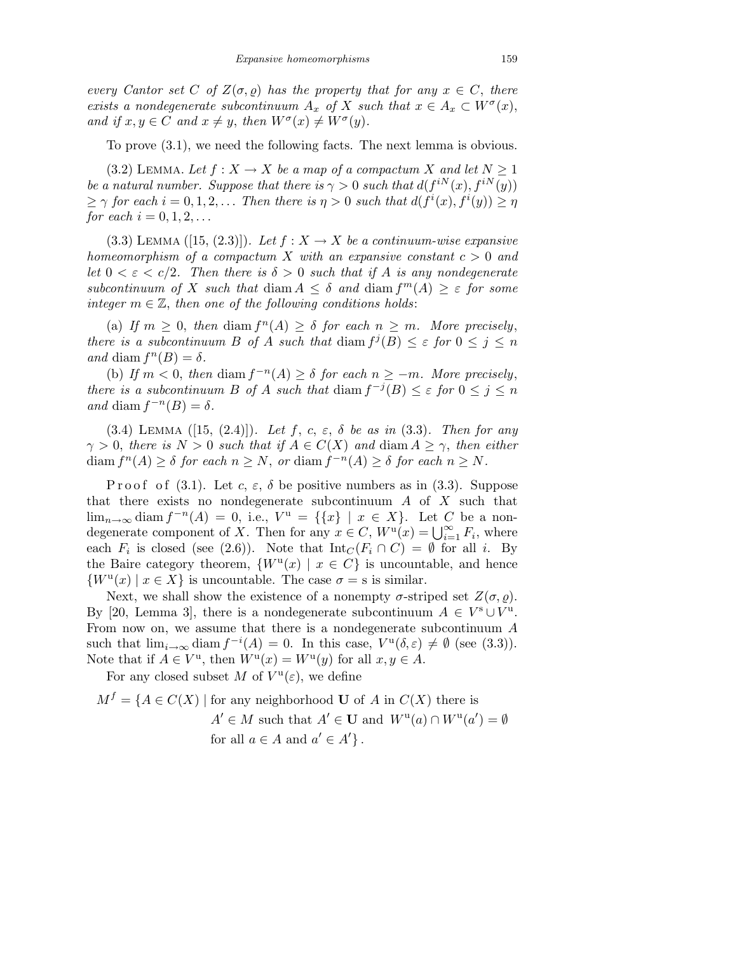every Cantor set C of  $Z(\sigma, \rho)$  has the property that for any  $x \in C$ , there exists a nondegenerate subcontinuum  $A_x$  of X such that  $x \in A_x \subset W^{\sigma}(x)$ , and if  $x, y \in C$  and  $x \neq y$ , then  $W^{\sigma}(x) \neq W^{\sigma}(y)$ .

To prove (3.1), we need the following facts. The next lemma is obvious.

(3.2) LEMMA. Let  $f: X \to X$  be a map of a compactum X and let  $N \geq 1$ be a natural number. Suppose that there is  $\gamma > 0$  such that  $d(f^{iN}(x), f^{iN}(y))$  $\geq \gamma$  for each  $i = 0, 1, 2, \ldots$  Then there is  $\eta > 0$  such that  $d(f^i(x), f^i(y)) \geq \eta$ for each  $i = 0, 1, 2, ...$ 

(3.3) LEMMA ([15, (2.3)]). Let  $f: X \to X$  be a continuum-wise expansive homeomorphism of a compactum X with an expansive constant  $c > 0$  and let  $0 < \varepsilon < c/2$ . Then there is  $\delta > 0$  such that if A is any nondegenerate subcontinuum of X such that diam  $A \leq \delta$  and diam  $f^m(A) \geq \varepsilon$  for some integer  $m \in \mathbb{Z}$ , then one of the following conditions holds:

(a) If  $m \geq 0$ , then diam  $f^{n}(A) \geq \delta$  for each  $n \geq m$ . More precisely, there is a subcontinuum B of A such that diam  $f^j(B) \leq \varepsilon$  for  $0 \leq j \leq n$ and diam  $f^{n}(B) = \delta$ .

(b) If  $m < 0$ , then diam  $f^{-n}(A) \geq \delta$  for each  $n \geq -m$ . More precisely, there is a subcontinuum B of A such that  $\dim f^{-j}(B) \leq \varepsilon$  for  $0 \leq j \leq n$ and diam  $f^{-n}(B) = \delta$ .

(3.4) LEMMA ([15, (2.4)]). Let f, c,  $\varepsilon$ ,  $\delta$  be as in (3.3). Then for any  $\gamma > 0$ , there is  $N > 0$  such that if  $A \in C(X)$  and diam  $A \geq \gamma$ , then either  $\text{diam } f^{n}(A) \geq \delta \text{ for each } n \geq N, \text{ or } \text{diam } f^{-n}(A) \geq \delta \text{ for each } n \geq N.$ 

P r o o f (3.1). Let c,  $\varepsilon$ ,  $\delta$  be positive numbers as in (3.3). Suppose that there exists no nondegenerate subcontinuum  $A$  of  $X$  such that  $\lim_{n\to\infty}$  diam  $f^{-n}(A) = 0$ , i.e.,  $V^u = \{\{x\} \mid x \in X\}$ . Let C be a nondegenerate component of X. Then for any  $x \in C$ ,  $W^{\mathfrak{u}}(x) = \bigcup_{i=1}^{\infty} F_i$ , where each  $F_i$  is closed (see (2.6)). Note that  $\mathrm{Int}_C(F_i \cap C) = \emptyset$  for all i. By the Baire category theorem,  $\{W^{\mathfrak{u}}(x) \mid x \in C\}$  is uncountable, and hence  $\{W^{\mathfrak{u}}(x) \mid x \in X\}$  is uncountable. The case  $\sigma = \mathfrak{s}$  is similar.

Next, we shall show the existence of a nonempty  $\sigma$ -striped set  $Z(\sigma, \rho)$ . By [20, Lemma 3], there is a nondegenerate subcontinuum  $A \in V^s \cup V^u$ . From now on, we assume that there is a nondegenerate subcontinuum A such that  $\lim_{i\to\infty} \text{diam } f^{-i}(A) = 0$ . In this case,  $V^{\mathfrak{u}}(\delta,\varepsilon) \neq \emptyset$  (see (3.3)). Note that if  $A \in V^{\mathrm{u}}$ , then  $W^{\mathrm{u}}(x) = W^{\mathrm{u}}(y)$  for all  $x, y \in A$ .

For any closed subset M of  $V^{\mathfrak{u}}(\varepsilon)$ , we define

$$
M^f = \{ A \in C(X) \mid \text{for any neighborhood } U \text{ of } A \text{ in } C(X) \text{ there is}
$$

$$
A' \in M \text{ such that } A' \in U \text{ and } W^u(a) \cap W^u(a') = \emptyset
$$
  
for all  $a \in A$  and  $a' \in A' \}.$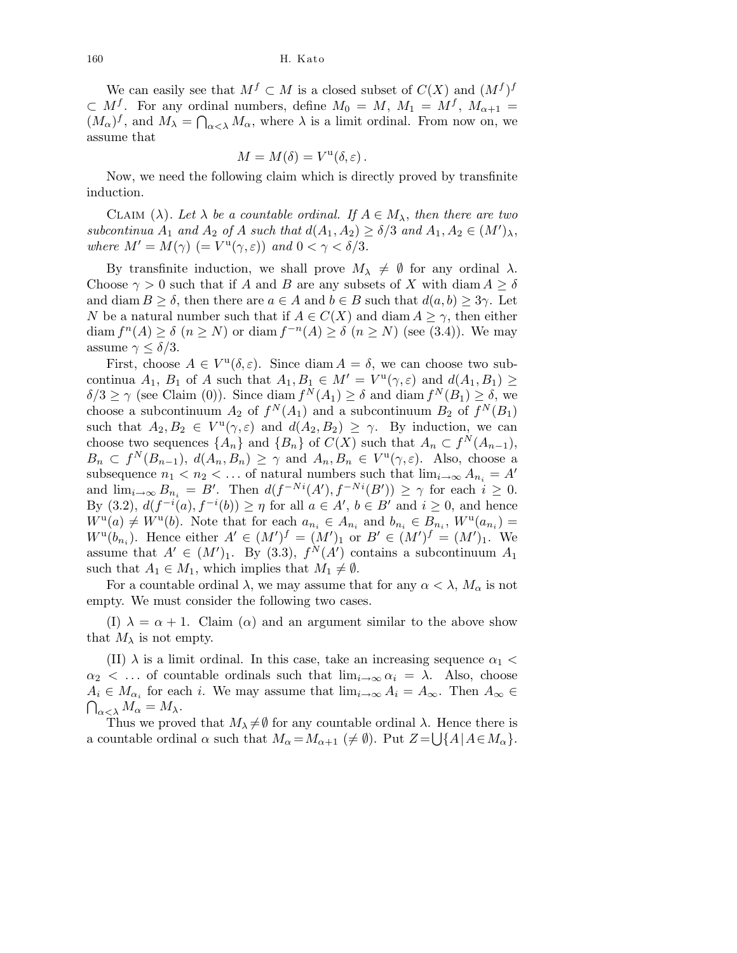We can easily see that  $M^f \subset M$  is a closed subset of  $C(X)$  and  $(M^f)^f$  $\subset M^f$ . For any ordinal numbers, define  $M_0 = M$ ,  $M_1 = M^f$ ,  $M_{\alpha+1} =$  $(M_{\alpha})^f$ , and  $M_{\lambda} = \bigcap_{\alpha < \lambda} M_{\alpha}$ , where  $\lambda$  is a limit ordinal. From now on, we assume that

$$
M = M(\delta) = V^{\mathrm{u}}(\delta, \varepsilon).
$$

Now, we need the following claim which is directly proved by transfinite induction.

CLAIM ( $\lambda$ ). Let  $\lambda$  be a countable ordinal. If  $A \in M_{\lambda}$ , then there are two subcontinua  $A_1$  and  $A_2$  of A such that  $d(A_1, A_2) \ge \delta/3$  and  $A_1, A_2 \in (M')_{\lambda}$ , where  $M' = M(\gamma)$  (=  $V^{\rm u}(\gamma, \varepsilon)$ ) and  $0 < \gamma < \delta/3$ .

By transfinite induction, we shall prove  $M_{\lambda} \neq \emptyset$  for any ordinal  $\lambda$ . Choose  $\gamma > 0$  such that if A and B are any subsets of X with diam  $A \geq \delta$ and diam  $B \geq \delta$ , then there are  $a \in A$  and  $b \in B$  such that  $d(a, b) \geq 3\gamma$ . Let N be a natural number such that if  $A \in C(X)$  and diam  $A \geq \gamma$ , then either diam  $f^{n}(A) \geq \delta$   $(n \geq N)$  or diam  $f^{-n}(A) \geq \delta$   $(n \geq N)$  (see (3.4)). We may assume  $\gamma \leq \delta/3$ .

First, choose  $A \in V^{\mathfrak{u}}(\delta,\varepsilon)$ . Since diam  $A = \delta$ , we can choose two subcontinua  $A_1$ ,  $B_1$  of A such that  $A_1, B_1 \in M' = V^{\mathfrak{u}}(\gamma, \varepsilon)$  and  $d(A_1, B_1) \geq$  $\delta/3 \ge \gamma$  (see Claim (0)). Since diam  $f^N(A_1) \ge \delta$  and diam  $f^N(B_1) \ge \delta$ , we choose a subcontinuum  $A_2$  of  $f^N(A_1)$  and a subcontinuum  $B_2$  of  $f^N(B_1)$ such that  $A_2, B_2 \in V^{\mathfrak{u}}(\gamma, \varepsilon)$  and  $d(A_2, B_2) \geq \gamma$ . By induction, we can choose two sequences  $\{A_n\}$  and  $\{B_n\}$  of  $C(X)$  such that  $A_n \subset f^N(A_{n-1}),$  $B_n \subset f^N(B_{n-1}), d(A_n, B_n) \geq \gamma$  and  $A_n, B_n \in V^{\mathfrak{u}}(\gamma, \varepsilon)$ . Also, choose a subsequence  $n_1 < n_2 < \ldots$  of natural numbers such that  $\lim_{i \to \infty} A_{n_i} = A'$ and  $\lim_{i\to\infty} B_{n_i} = B'$ . Then  $d(f^{-Ni}(A'), f^{-Ni}(B')) \geq \gamma$  for each  $i \geq 0$ . By (3.2),  $d(f^{-i}(a), f^{-i}(b)) \geq \eta$  for all  $a \in A'$ ,  $b \in B'$  and  $i \geq 0$ , and hence  $W^{\mathbf{u}}(a) \neq W^{\mathbf{u}}(b)$ . Note that for each  $a_{n_i} \in A_{n_i}$  and  $b_{n_i} \in B_{n_i}$ ,  $W^{\mathbf{u}}(a_{n_i}) =$  $W^{u}(b_{n_{i}})$ . Hence either  $A' \in (M')^{f} = (M')_{1}$  or  $B' \in (M')^{f} = (M')_{1}$ . We assume that  $A' \in (M')_1$ . By (3.3),  $f^N(A')$  contains a subcontinuum  $A_1$ such that  $A_1 \in M_1$ , which implies that  $M_1 \neq \emptyset$ .

For a countable ordinal  $\lambda$ , we may assume that for any  $\alpha < \lambda$ ,  $M_{\alpha}$  is not empty. We must consider the following two cases.

(I)  $\lambda = \alpha + 1$ . Claim ( $\alpha$ ) and an argument similar to the above show that  $M_{\lambda}$  is not empty.

(II)  $\lambda$  is a limit ordinal. In this case, take an increasing sequence  $\alpha_1$  <  $\alpha_2$  < ... of countable ordinals such that  $\lim_{i\to\infty} \alpha_i = \lambda$ . Also, choose  $A_i \in M_{\alpha_i}$  for each i. We may assume that  $\lim_{i \to \infty} A_i = A_{\infty}$ . Then  $A_{\infty} \in$  $\bigcap_{\alpha<\lambda}M_\alpha=M_\lambda.$ 

Thus we proved that  $M_{\lambda} \neq \emptyset$  for any countable ordinal  $\lambda$ . Hence there is a countable ordinal  $\alpha$  such that  $M_{\alpha} = M_{\alpha+1} \ (\neq \emptyset)$ . Put  $Z = \bigcup \{A \mid A \in M_{\alpha}\}.$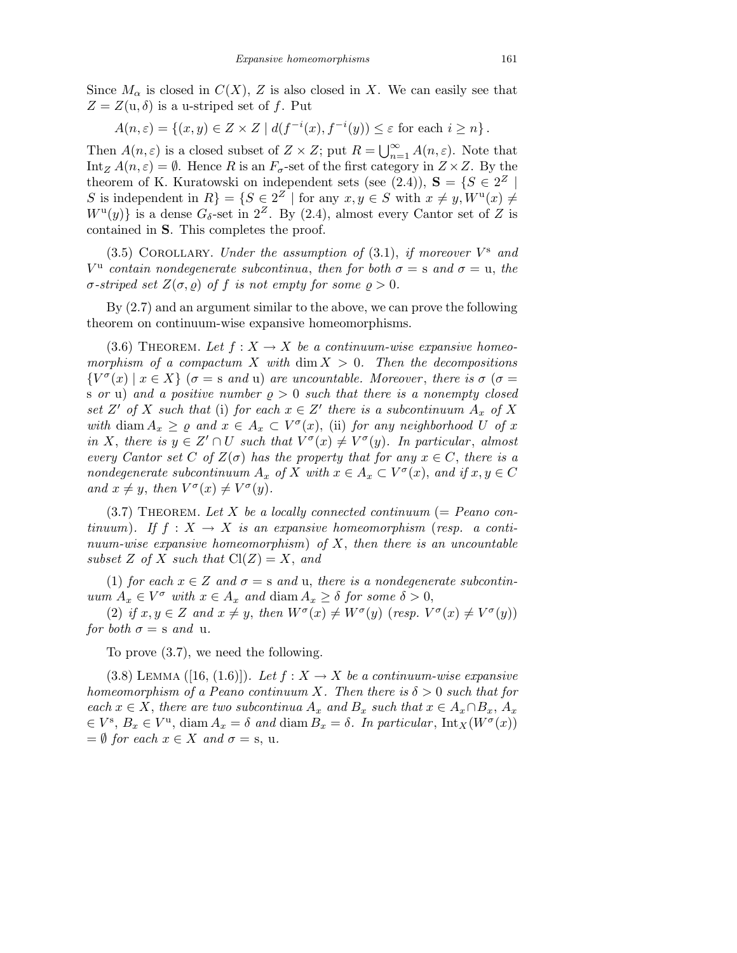Since  $M_{\alpha}$  is closed in  $C(X)$ , Z is also closed in X. We can easily see that  $Z = Z(u, \delta)$  is a u-striped set of f. Put

$$
A(n,\varepsilon) = \{(x,y) \in Z \times Z \mid d(f^{-i}(x), f^{-i}(y)) \le \varepsilon \text{ for each } i \ge n\}.
$$

Then  $A(n,\varepsilon)$  is a closed subset of  $Z \times Z$ ; put  $R = \bigcup_{n=1}^{\infty} A(n,\varepsilon)$ . Note that Int<sub>Z</sub>  $A(n,\varepsilon) = \emptyset$ . Hence R is an  $F_{\sigma}$ -set of the first category in  $Z \times Z$ . By the theorem of K. Kuratowski on independent sets (see (2.4)),  $S = \{S \in 2^Z \mid S \in \mathbb{R}^Z\}$ S is independent in  $R$ } = { $S \in 2<sup>Z</sup>$  | for any  $x, y \in S$  with  $x \neq y, W^u(x) \neq$  $W^{\mathrm{u}}(y)$  is a dense  $G_{\delta}$ -set in  $2^{Z}$ . By (2.4), almost every Cantor set of Z is contained in S. This completes the proof.

(3.5) COROLLARY. Under the assumption of  $(3.1)$ , if moreover  $V^s$  and  $V^{\mathrm{u}}$  contain nondegenerate subcontinua, then for both  $\sigma = \mathrm{s}$  and  $\sigma = \mathrm{u}$ , the σ-striped set  $Z(σ, ρ)$  of f is not empty for some  $ρ > 0$ .

By (2.7) and an argument similar to the above, we can prove the following theorem on continuum-wise expansive homeomorphisms.

(3.6) THEOREM. Let  $f : X \to X$  be a continuum-wise expansive homeomorphism of a compactum X with  $\dim X > 0$ . Then the decompositions  ${V^{\sigma}}(x) \mid x \in X$  ( $\sigma = s$  and u) are uncountable. Moreover, there is  $\sigma$  ( $\sigma =$ s or u) and a positive number  $\rho > 0$  such that there is a nonempty closed set Z' of X such that (i) for each  $x \in Z'$  there is a subcontinuum  $A_x$  of X with diam  $A_x \geq \varrho$  and  $x \in A_x \subset V^{\sigma}(x)$ , (ii) for any neighborhood U of x in X, there is  $y \in Z' \cap U$  such that  $V^{\sigma}(x) \neq V^{\sigma}(y)$ . In particular, almost every Cantor set C of  $Z(\sigma)$  has the property that for any  $x \in C$ , there is a nondegenerate subcontinuum  $A_x$  of X with  $x \in A_x \subset V^{\sigma}(x)$ , and if  $x, y \in C$ and  $x \neq y$ , then  $V^{\sigma}(x) \neq V^{\sigma}(y)$ .

 $(3.7)$  THEOREM. Let X be a locally connected continuum (= Peano continuum). If  $f: X \to X$  is an expansive homeomorphism (resp. a continuum-wise expansive homeomorphism) of  $X$ , then there is an uncountable subset Z of X such that  $Cl(Z) = X$ , and

(1) for each  $x \in Z$  and  $\sigma = s$  and u, there is a nondegenerate subcontinuum  $A_x \in V^{\sigma}$  with  $x \in A_x$  and diam  $A_x \geq \delta$  for some  $\delta > 0$ ,

(2) if  $x, y \in Z$  and  $x \neq y$ , then  $W^{\sigma}(x) \neq W^{\sigma}(y)$  (resp.  $V^{\sigma}(x) \neq V^{\sigma}(y)$ ) for both  $\sigma = s$  and u.

To prove (3.7), we need the following.

(3.8) LEMMA ([16, (1.6)]). Let  $f: X \to X$  be a continuum-wise expansive homeomorphism of a Peano continuum X. Then there is  $\delta > 0$  such that for each  $x \in X$ , there are two subcontinua  $A_x$  and  $B_x$  such that  $x \in A_x \cap B_x$ ,  $A_x$  $\in V^s$ ,  $B_x \in V^u$ , diam  $A_x = \delta$  and diam  $B_x = \delta$ . In particular,  $\text{Int}_X(W^{\sigma}(x))$  $=\emptyset$  for each  $x \in X$  and  $\sigma = s$ , u.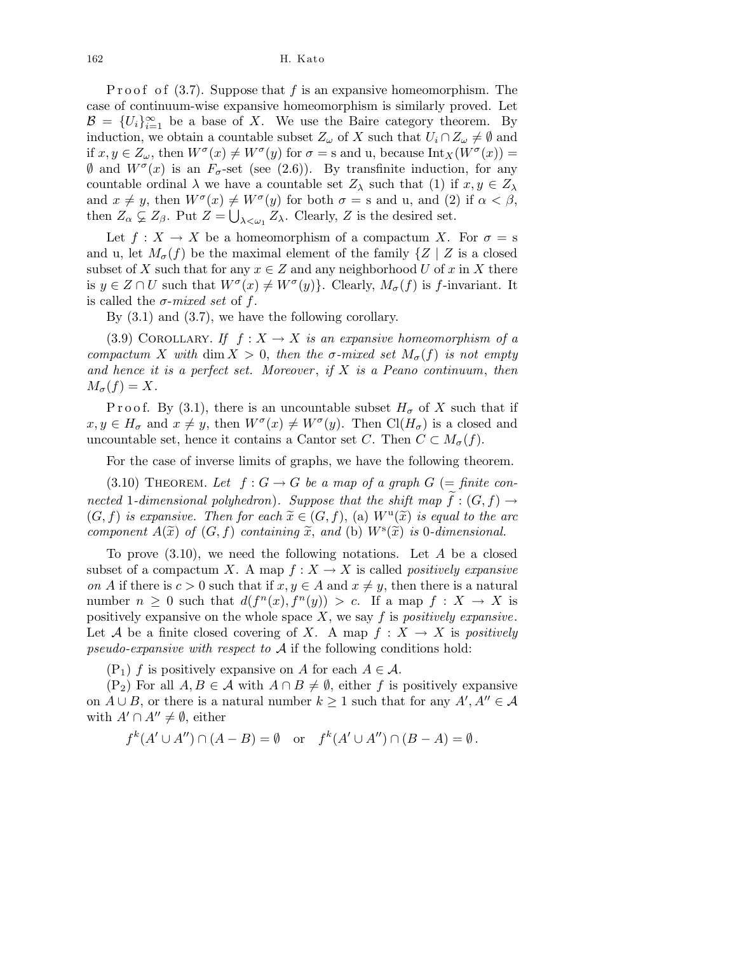P r o o f o f  $(3.7)$ . Suppose that f is an expansive homeomorphism. The case of continuum-wise expansive homeomorphism is similarly proved. Let  $\mathcal{B} = \{U_i\}_{i=1}^{\infty}$  be a base of X. We use the Baire category theorem. By induction, we obtain a countable subset  $Z_{\omega}$  of X such that  $U_i \cap Z_{\omega} \neq \emptyset$  and if  $x, y \in Z_\omega$ , then  $W^\sigma(x) \neq W^\sigma(y)$  for  $\sigma = \text{s}$  and u, because  $\text{Int}_X(W^\sigma(x)) =$  $\emptyset$  and  $W^{\sigma}(x)$  is an  $F_{\sigma}$ -set (see (2.6)). By transfinite induction, for any countable ordinal  $\lambda$  we have a countable set  $Z_{\lambda}$  such that (1) if  $x, y \in Z_{\lambda}$ and  $x \neq y$ , then  $W^{\sigma}(x) \neq W^{\sigma}(y)$  for both  $\sigma = s$  and u, and (2) if  $\alpha < \beta$ , then  $Z_{\alpha} \subsetneq Z_{\beta}$ . Put  $Z = \bigcup_{\lambda \leq \omega_1} Z_{\lambda}$ . Clearly, Z is the desired set.

Let  $f: X \to X$  be a homeomorphism of a compactum X. For  $\sigma = s$ and u, let  $M_{\sigma}(f)$  be the maximal element of the family  $\{Z \mid Z \text{ is a closed}\}\$ subset of X such that for any  $x \in Z$  and any neighborhood U of x in X there is  $y \in Z \cap U$  such that  $W^{\sigma}(x) \neq W^{\sigma}(y)$ . Clearly,  $M_{\sigma}(f)$  is f-invariant. It is called the  $\sigma$ -mixed set of f.

By (3.1) and (3.7), we have the following corollary.

(3.9) COROLLARY. If  $f: X \to X$  is an expansive homeomorphism of a compactum X with dim  $X > 0$ , then the σ-mixed set  $M_{\sigma}(f)$  is not empty and hence it is a perfect set. Moreover, if  $X$  is a Peano continuum, then  $M_{\sigma}(f) = X.$ 

P r o o f. By (3.1), there is an uncountable subset  $H_{\sigma}$  of X such that if  $x, y \in H_{\sigma}$  and  $x \neq y$ , then  $W^{\sigma}(x) \neq W^{\sigma}(y)$ . Then  $\text{Cl}(H_{\sigma})$  is a closed and uncountable set, hence it contains a Cantor set C. Then  $C \subset M_{\sigma}(f)$ .

For the case of inverse limits of graphs, we have the following theorem.

(3.10) THEOREM. Let  $f: G \to G$  be a map of a graph  $G$  (= finite connected 1-dimensional polyhedron). Suppose that the shift map  $f:(G, f) \rightarrow$  $(G, f)$  is expansive. Then for each  $\tilde{x} \in (G, f),$  (a)  $W^{\mathrm{u}}(\tilde{x})$  is equal to the arc component  $A(\tilde{x})$  of  $(G, f)$  containing  $\tilde{x}$ , and (b)  $W^s(\tilde{x})$  is 0-dimensional.

To prove  $(3.10)$ , we need the following notations. Let A be a closed subset of a compactum X. A map  $f: X \to X$  is called *positively expansive* on A if there is  $c > 0$  such that if  $x, y \in A$  and  $x \neq y$ , then there is a natural number  $n \geq 0$  such that  $d(f^{n}(x), f^{n}(y)) > c$ . If a map  $f: X \to X$  is positively expansive on the whole space  $X$ , we say f is positively expansive. Let A be a finite closed covering of X. A map  $f: X \to X$  is positively pseudo-expansive with respect to  $A$  if the following conditions hold:

 $(P_1)$  f is positively expansive on A for each  $A \in \mathcal{A}$ .

 $(P_2)$  For all  $A, B \in \mathcal{A}$  with  $A \cap B \neq \emptyset$ , either f is positively expansive on  $A \cup B$ , or there is a natural number  $k \geq 1$  such that for any  $A', A'' \in A$ with  $A' \cap A'' \neq \emptyset$ , either

 $f^k(A' \cup A'') \cap (A - B) = \emptyset$  or  $f^k(A' \cup A'') \cap (B - A) = \emptyset$ .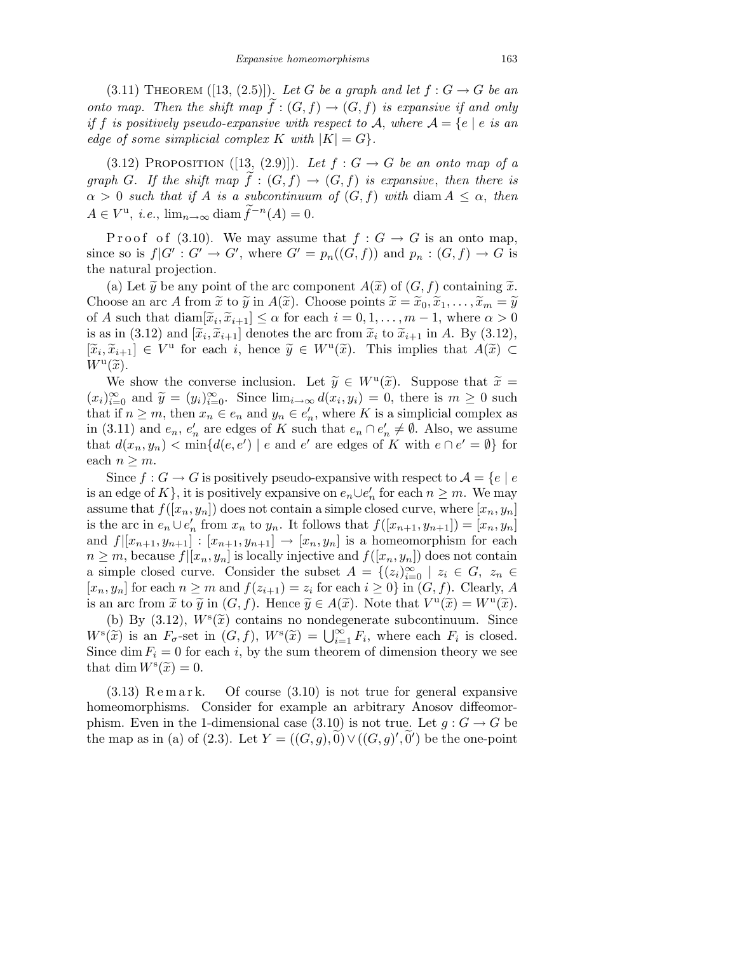(3.11) THEOREM ([13, (2.5)]). Let G be a graph and let  $f: G \to G$  be an onto map. Then the shift map  $f:(G, f) \to (G, f)$  is expansive if and only if f is positively pseudo-expansive with respect to A, where  $A = \{e \mid e \text{ is an}$ edge of some simplicial complex K with  $|K| = G$ .

(3.12) PROPOSITION ([13, (2.9)]). Let  $f: G \to G$  be an onto map of a graph G. If the shift map  $f:(G, f) \to (G, f)$  is expansive, then there is  $\alpha > 0$  such that if A is a subcontinuum of  $(G, f)$  with diam  $A \leq \alpha$ , then  $A \in V^{\mathrm{u}}, i.e., \lim_{n \to \infty} \mathrm{diam }\widetilde{f}^{-n}(A) = 0.$ 

P r o o f (3.10). We may assume that  $f: G \to G$  is an onto map, since so is  $f|G': G' \to G'$ , where  $G' = p_n((G, f))$  and  $p_n : (G, f) \to G$  is the natural projection.

(a) Let  $\widetilde{y}$  be any point of the arc component  $A(\widetilde{x})$  of  $(G, f)$  containing  $\widetilde{x}$ . Choose an arc A from  $\tilde{x}$  to  $\tilde{y}$  in  $A(\tilde{x})$ . Choose points  $\tilde{x} = \tilde{x}_0, \tilde{x}_1, \ldots, \tilde{x}_m = \tilde{y}$ of A such that  $\text{diam}[\tilde{x}_i, \tilde{x}_{i+1}] \leq \alpha$  for each  $i = 0, 1, \ldots, m-1$ , where  $\alpha > 0$ is as in (3.12) and  $[\tilde{x}_i, \tilde{x}_{i+1}]$  denotes the arc from  $\tilde{x}_i$  to  $\tilde{x}_{i+1}$  in A. By (3.12),  $[\tilde{x}_i, \tilde{x}_{i+1}] \in V^{\mathfrak{u}}$  for each i, hence  $\tilde{y} \in W^{\mathfrak{u}}(\tilde{x})$ . This implies that  $A(\tilde{x}) \subset W^{\mathfrak{u}}(\tilde{x})$ .  $W^{\mathrm{u}}(\widetilde{x})$ .

We show the converse inclusion. Let  $\widetilde{y} \in W^u(\widetilde{x})$ . Suppose that  $\widetilde{x} = \widetilde{y} \in W^u(\widetilde{x})$ .  $(x_i)_{i=0}^{\infty}$  and  $\widetilde{y} = (y_i)_{i=0}^{\infty}$ . Since  $\lim_{i \to \infty} d(x_i, y_i) = 0$ , there is  $m \ge 0$  such that if  $n \geq m$ , then  $x_n \in e_n$  and  $y_n \in e'_n$  $n'$ , where K is a simplicial complex as in (3.11) and  $e_n, e'_n$  $n'_n$  are edges of K such that  $e_n \cap e'_n$  $n \neq \emptyset$ . Also, we assume that  $d(x_n, y_n) < \min\{d(e, e') \mid e \text{ and } e' \text{ are edges of } K \text{ with } e \cap e' = \emptyset\}$  for each  $n \geq m$ .

Since  $f: G \to G$  is positively pseudo-expansive with respect to  $\mathcal{A} = \{e \mid e$ is an edge of K}, it is positively expansive on  $e_n \cup e'_n$  for each  $n \geq m$ . We may assume that  $f([x_n, y_n])$  does not contain a simple closed curve, where  $[x_n, y_n]$ is the arc in  $e_n \cup e'_n$  from  $x_n$  to  $y_n$ . It follows that  $f([x_{n+1}, y_{n+1}]) = [x_n, y_n]$ and  $f([x_{n+1}, y_{n+1}] : [x_{n+1}, y_{n+1}] \rightarrow [x_n, y_n]$  is a homeomorphism for each  $n \geq m$ , because  $f([x_n, y_n])$  is locally injective and  $f([x_n, y_n])$  does not contain a simple closed curve. Consider the subset  $A = \{(z_i)_{i=0}^{\infty} \mid z_i \in G, z_n \in G\}$  $[x_n, y_n]$  for each  $n \geq m$  and  $f(z_{i+1}) = z_i$  for each  $i \geq 0$  in  $(G, f)$ . Clearly, A is an arc from  $\tilde{x}$  to  $\tilde{y}$  in  $(G, f)$ . Hence  $\tilde{y} \in A(\tilde{x})$ . Note that  $V^{\mathfrak{u}}(\tilde{x}) = W^{\mathfrak{u}}(\tilde{x})$ .

(b) By (3.12),  $W^s(\tilde{x})$  contains no nondegenerate subcontinuum. Since  $W^{s}(\widetilde{x})$  is an  $F_{\sigma}$ -set in  $(G, f)$ ,  $W^{s}(\widetilde{x}) = \bigcup_{i=1}^{\infty} F_{i}$ , where each  $F_{i}$  is closed. Since dim  $F_i = 0$  for each i, by the sum theorem of dimension theory we see that dim  $W^s(\tilde{x}) = 0$ .

 $(3.13)$  Remark. Of course  $(3.10)$  is not true for general expansive homeomorphisms. Consider for example an arbitrary Anosov diffeomorphism. Even in the 1-dimensional case (3.10) is not true. Let  $q: G \to G$  be the map as in (a) of (2.3). Let  $Y = ((G, g), 0) \vee ((G, g)', 0')$  be the one-point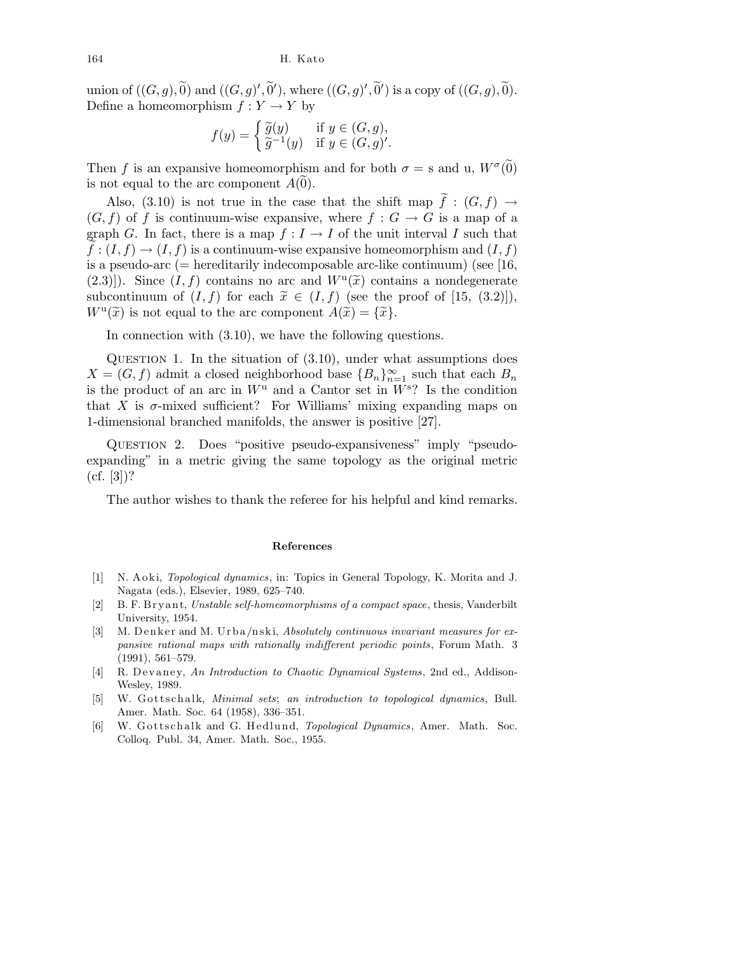union of  $((G, g), \widetilde{0})$  and  $((G, g)', \widetilde{0}'),$  where  $((G, g)', \widetilde{0}')$  is a copy of  $((G, g), \widetilde{0}).$ Define a homeomorphism  $f: Y \to Y$  by

$$
f(y) = \begin{cases} \widetilde{g}(y) & \text{if } y \in (G, g), \\ \widetilde{g}^{-1}(y) & \text{if } y \in (G, g)'. \end{cases}
$$

Then f is an expansive homeomorphism and for both  $\sigma = s$  and u,  $W^{\sigma}(\tilde{0})$ is not equal to the arc component  $A(0)$ .

Also, (3.10) is not true in the case that the shift map  $\tilde{f} : (G, f) \rightarrow$  $(G, f)$  of f is continuum-wise expansive, where  $f : G \to G$  is a map of a graph G. In fact, there is a map  $f: I \to I$  of the unit interval I such that  $f:(I, f) \to (I, f)$  is a continuum-wise expansive homeomorphism and  $(I, f)$ is a pseudo-arc (= hereditarily indecomposable arc-like continuum) (see [16, (2.3)]). Since  $(I, f)$  contains no arc and  $W^{\mathrm{u}}(\tilde{x})$  contains a nondegenerate subcontinuum of  $(I, f)$  for each  $\tilde{x} \in (I, f)$  (see the proof of [15, (3.2)]),  $W^{\mathrm{u}}(\tilde{x})$  is not equal to the arc component  $A(\tilde{x}) = {\tilde{x}}$ .

In connection with (3.10), we have the following questions.

QUESTION 1. In the situation of  $(3.10)$ , under what assumptions does  $X = (G, f)$  admit a closed neighborhood base  ${B_n}_{n=1}^{\infty}$  such that each  $B_n$ is the product of an arc in  $W^{\mathrm{u}}$  and a Cantor set in  $W^{\mathrm{s}}$ ? Is the condition that X is  $\sigma$ -mixed sufficient? For Williams' mixing expanding maps on 1-dimensional branched manifolds, the answer is positive [27].

Question 2. Does "positive pseudo-expansiveness" imply "pseudoexpanding" in a metric giving the same topology as the original metric  $(cf. [3])$ ?

The author wishes to thank the referee for his helpful and kind remarks.

## **References**

- [1] N. A o ki, *Topological dynamics*, in: Topics in General Topology, K. Morita and J. Nagata (eds.), Elsevier, 1989, 625–740.
- [2] B. F. B r y a n t, *Unstable self-homeomorphisms of a compact space*, thesis, Vanderbilt University, 1954.
- [3] M. Denker and M. Urba/nski, *Absolutely continuous invariant measures for expansive rational maps with rationally indifferent periodic points*, Forum Math. 3 (1991), 561–579.
- [4] R. Devaney, An Introduction to Chaotic Dynamical Systems, 2nd ed., Addison-Wesley, 1989.
- [5] W. Gottschalk, *Minimal sets*; *an introduction to topological dynamics*, Bull. Amer. Math. Soc. 64 (1958), 336–351.
- [6] W. Gottschalk and G. Hedlund, *Topological Dynamics*, Amer. Math. Soc. Colloq. Publ. 34, Amer. Math. Soc., 1955.